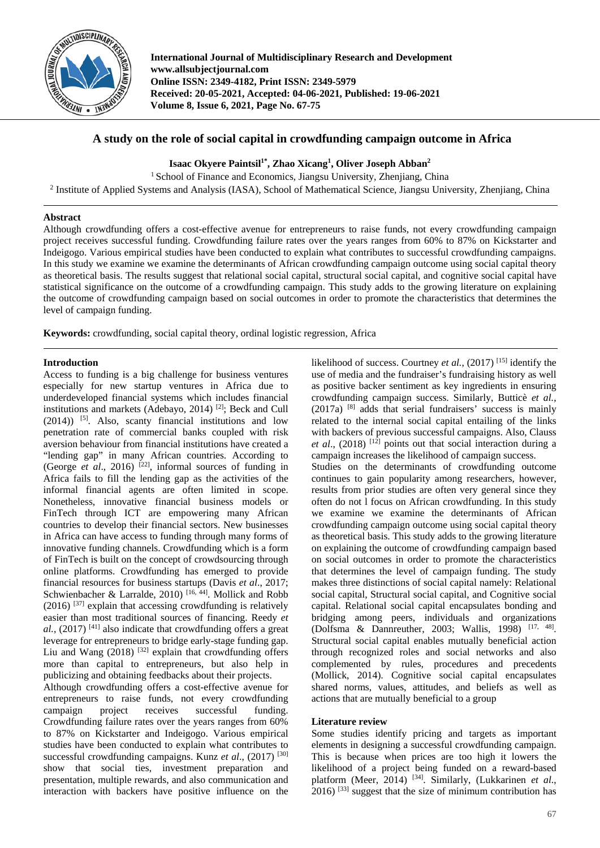

**International Journal of Multidisciplinary Research and Development www.allsubjectjournal.com Online ISSN: 2349-4182, Print ISSN: 2349-5979 Received: 20-05-2021, Accepted: 04-06-2021, Published: 19-06-2021 Volume 8, Issue 6, 2021, Page No. 67-75**

# **A study on the role of social capital in crowdfunding campaign outcome in Africa**

**Isaac Okyere Paintsil1\* , Zhao Xicang1 , Oliver Joseph Abban2**

<sup>1</sup> School of Finance and Economics, Jiangsu University, Zhenjiang, China

<sup>2</sup> Institute of Applied Systems and Analysis (IASA), School of Mathematical Science, Jiangsu University, Zhenjiang, China

## **Abstract**

Although crowdfunding offers a cost-effective avenue for entrepreneurs to raise funds, not every crowdfunding campaign project receives successful funding. Crowdfunding failure rates over the years ranges from 60% to 87% on Kickstarter and Indeigogo. Various empirical studies have been conducted to explain what contributes to successful crowdfunding campaigns. In this study we examine we examine the determinants of African crowdfunding campaign outcome using social capital theory as theoretical basis. The results suggest that relational social capital, structural social capital, and cognitive social capital have statistical significance on the outcome of a crowdfunding campaign. This study adds to the growing literature on explaining the outcome of crowdfunding campaign based on social outcomes in order to promote the characteristics that determines the level of campaign funding.

**Keywords:** crowdfunding, social capital theory, ordinal logistic regression, Africa

### **Introduction**

Access to funding is a big challenge for business ventures especially for new startup ventures in Africa due to underdeveloped financial systems which includes financial institutions and markets (Adebayo, 2014)<sup>[2]</sup>; Beck and Cull  $(2014)$ ) <sup>[5]</sup>. Also, scanty financial institutions and low penetration rate of commercial banks coupled with risk aversion behaviour from financial institutions have created a "lending gap" in many African countries. According to (George *et al.*, 2016)<sup>[22]</sup>, informal sources of funding in Africa fails to fill the lending gap as the activities of the informal financial agents are often limited in scope. Nonetheless, innovative financial business models or FinTech through ICT are empowering many African countries to develop their financial sectors. New businesses in Africa can have access to funding through many forms of innovative funding channels. Crowdfunding which is a form of FinTech is built on the concept of crowdsourcing through online platforms. Crowdfunding has emerged to provide financial resources for business startups (Davis *et al*., 2017; Schwienbacher & Larralde, 2010)<sup>[16, 44]</sup>. Mollick and Robb  $(2016)$ <sup>[37]</sup> explain that accessing crowdfunding is relatively easier than most traditional sources of financing. Reedy *et al.*, (2017) [41] also indicate that crowdfunding offers a great leverage for entrepreneurs to bridge early-stage funding gap. Liu and Wang  $(2018)$  <sup>[32]</sup> explain that crowdfunding offers more than capital to entrepreneurs, but also help in publicizing and obtaining feedbacks about their projects.

Although crowdfunding offers a cost-effective avenue for entrepreneurs to raise funds, not every crowdfunding campaign project receives successful funding. Crowdfunding failure rates over the years ranges from 60% to 87% on Kickstarter and Indeigogo. Various empirical studies have been conducted to explain what contributes to successful crowdfunding campaigns. Kunz *et al.*, (2017)<sup>[30]</sup> show that social ties, investment preparation and presentation, multiple rewards, and also communication and interaction with backers have positive influence on the likelihood of success. Courtney *et al.*, (2017)<sup>[15]</sup> identify the use of media and the fundraiser's fundraising history as well as positive backer sentiment as key ingredients in ensuring crowdfunding campaign success. Similarly, Butticè *et al.*,  $(2017a)$  [8] adds that serial fundraisers' success is mainly related to the internal social capital entailing of the links with backers of previous successful campaigns. Also, Clauss *et al*., (2018) [12] points out that social interaction during a campaign increases the likelihood of campaign success. Studies on the determinants of crowdfunding outcome continues to gain popularity among researchers, however, results from prior studies are often very general since they often do not l focus on African crowdfunding. In this study we examine we examine the determinants of African crowdfunding campaign outcome using social capital theory as theoretical basis. This study adds to the growing literature on explaining the outcome of crowdfunding campaign based

on social outcomes in order to promote the characteristics that determines the level of campaign funding. The study makes three distinctions of social capital namely: Relational social capital, Structural social capital, and Cognitive social capital. Relational social capital encapsulates bonding and bridging among peers, individuals and organizations (Dolfsma & Dannreuther, 2003; Wallis, 1998) [17, 48]. Structural social capital enables mutually beneficial action through recognized roles and social networks and also complemented by rules, procedures and precedents (Mollick, 2014). Cognitive social capital encapsulates shared norms, values, attitudes, and beliefs as well as actions that are mutually beneficial to a group

## **Literature review**

Some studies identify pricing and targets as important elements in designing a successful crowdfunding campaign. This is because when prices are too high it lowers the likelihood of a project being funded on a reward-based platform (Meer, 2014)<sup>[34]</sup>. Similarly, (Lukkarinen *et al.*,  $2016$ )  $^{[33]}$  suggest that the size of minimum contribution has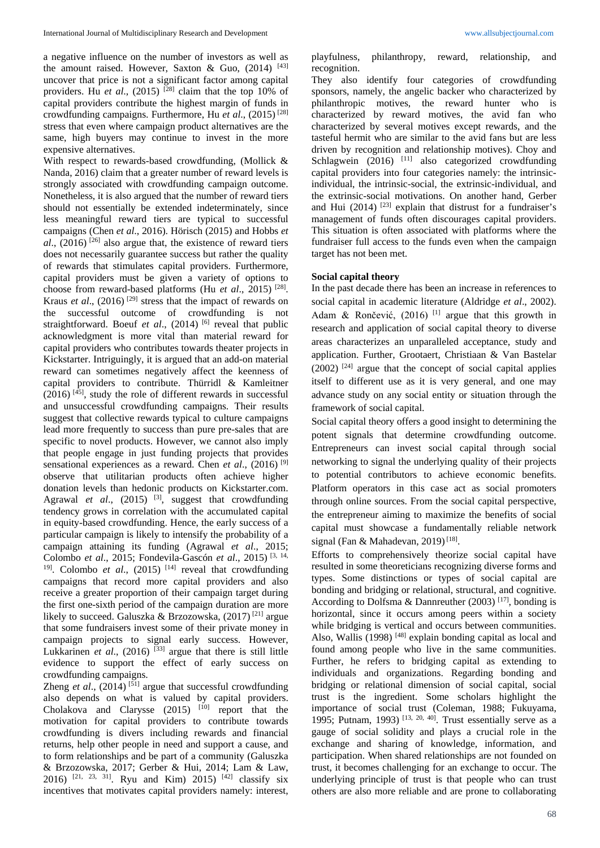a negative influence on the number of investors as well as the amount raised. However, Saxton & Guo,  $(2014)$ <sup>[43]</sup> uncover that price is not a significant factor among capital providers. Hu *et al.*, (2015)<sup>[28]</sup> claim that the top 10% of capital providers contribute the highest margin of funds in crowdfunding campaigns. Furthermore, Hu *et al*., (2015) [28] stress that even where campaign product alternatives are the same, high buyers may continue to invest in the more expensive alternatives.

With respect to rewards-based crowdfunding, (Mollick & Nanda, 2016) claim that a greater number of reward levels is strongly associated with crowdfunding campaign outcome. Nonetheless, it is also argued that the number of reward tiers should not essentially be extended indeterminately, since less meaningful reward tiers are typical to successful campaigns (Chen *et al*., 2016). Hörisch (2015) and Hobbs *et*   $al$ ,  $(2016)$ <sup>[26]</sup> also argue that, the existence of reward tiers does not necessarily guarantee success but rather the quality of rewards that stimulates capital providers. Furthermore, capital providers must be given a variety of options to choose from reward-based platforms (Hu *et al.*, 2015)<sup>[28]</sup>. Kraus *et al*., (2016) [29] stress that the impact of rewards on the successful outcome of crowdfunding is not straightforward. Boeuf *et al.*, (2014) <sup>[6]</sup> reveal that public acknowledgment is more vital than material reward for capital providers who contributes towards theater projects in Kickstarter. Intriguingly, it is argued that an add-on material reward can sometimes negatively affect the keenness of capital providers to contribute. Thürridl & Kamleitner  $(2016)$ <sup>[45]</sup>, study the role of different rewards in successful and unsuccessful crowdfunding campaigns. Their results suggest that collective rewards typical to culture campaigns lead more frequently to success than pure pre-sales that are specific to novel products. However, we cannot also imply that people engage in just funding projects that provides sensational experiences as a reward. Chen *et al*., (2016) [9] observe that utilitarian products often achieve higher donation levels than hedonic products on Kickstarter.com. Agrawal *et al.*, (2015)<sup>[3]</sup>, suggest that crowdfunding tendency grows in correlation with the accumulated capital in equity-based crowdfunding. Hence, the early success of a particular campaign is likely to intensify the probability of a campaign attaining its funding (Agrawal *et al*., 2015; Colombo *et al*., 2015; Fondevila-Gascón *et al*., 2015) [3, 14, <sup>19]</sup>. Colombo *et al.*, (2015)<sup>[14]</sup> reveal that crowdfunding campaigns that record more capital providers and also receive a greater proportion of their campaign target during the first one-sixth period of the campaign duration are more likely to succeed. Galuszka & Brzozowska, (2017) [21] argue that some fundraisers invest some of their private money in campaign projects to signal early success. However, Lukkarinen *et al.*, (2016)<sup>[33]</sup> argue that there is still little evidence to support the effect of early success on crowdfunding campaigns.

Zheng *et al.*,  $(2014)$ <sup>[51]</sup> argue that successful crowdfunding also depends on what is valued by capital providers. Cholakova and Clarysse  $(2015)$   $[10]$  report that the motivation for capital providers to contribute towards crowdfunding is divers including rewards and financial returns, help other people in need and support a cause, and to form relationships and be part of a community (Galuszka & Brzozowska, 2017; Gerber & Hui, 2014; Lam & Law, 2016) <sup>[21, 23, 31]</sup>. Ryu and Kim) 2015) <sup>[42]</sup> classify six incentives that motivates capital providers namely: interest, playfulness, philanthropy, reward, relationship, and recognition.

They also identify four categories of crowdfunding sponsors, namely, the angelic backer who characterized by philanthropic motives, the reward hunter who is characterized by reward motives, the avid fan who characterized by several motives except rewards, and the tasteful hermit who are similar to the avid fans but are less driven by recognition and relationship motives). Choy and Schlagwein  $(2016)$ <sup>[11]</sup> also categorized crowdfunding capital providers into four categories namely: the intrinsicindividual, the intrinsic-social, the extrinsic-individual, and the extrinsic-social motivations. On another hand, Gerber and Hui  $(2014)$ <sup>[23]</sup> explain that distrust for a fundraiser's management of funds often discourages capital providers. This situation is often associated with platforms where the fundraiser full access to the funds even when the campaign target has not been met.

#### **Social capital theory**

In the past decade there has been an increase in references to social capital in academic literature (Aldridge *et al*., 2002). Adam & Rončević,  $(2016)$ <sup>[1]</sup> argue that this growth in research and application of social capital theory to diverse areas characterizes an unparalleled acceptance, study and application. Further, Grootaert, Christiaan & Van Bastelar  $(2002)$ <sup>[24]</sup> argue that the concept of social capital applies itself to different use as it is very general, and one may advance study on any social entity or situation through the framework of social capital.

Social capital theory offers a good insight to determining the potent signals that determine crowdfunding outcome. Entrepreneurs can invest social capital through social networking to signal the underlying quality of their projects to potential contributors to achieve economic benefits. Platform operators in this case act as social promoters through online sources. From the social capital perspective, the entrepreneur aiming to maximize the benefits of social capital must showcase a fundamentally reliable network signal (Fan & Mahadevan, 2019)<sup>[18]</sup>.

Efforts to comprehensively theorize social capital have resulted in some theoreticians recognizing diverse forms and types. Some distinctions or types of social capital are bonding and bridging or relational, structural, and cognitive. According to Dolfsma & Dannreuther  $(2003)$ <sup>[17]</sup>, bonding is horizontal, since it occurs among peers within a society while bridging is vertical and occurs between communities. Also, Wallis  $(1998)$ <sup>[48]</sup> explain bonding capital as local and found among people who live in the same communities. Further, he refers to bridging capital as extending to individuals and organizations. Regarding bonding and bridging or relational dimension of social capital, social trust is the ingredient. Some scholars highlight the importance of social trust (Coleman, 1988; Fukuyama, 1995; Putnam, 1993)<sup>[13, 20, 40]</sup>. Trust essentially serve as a gauge of social solidity and plays a crucial role in the exchange and sharing of knowledge, information, and participation. When shared relationships are not founded on trust, it becomes challenging for an exchange to occur. The underlying principle of trust is that people who can trust others are also more reliable and are prone to collaborating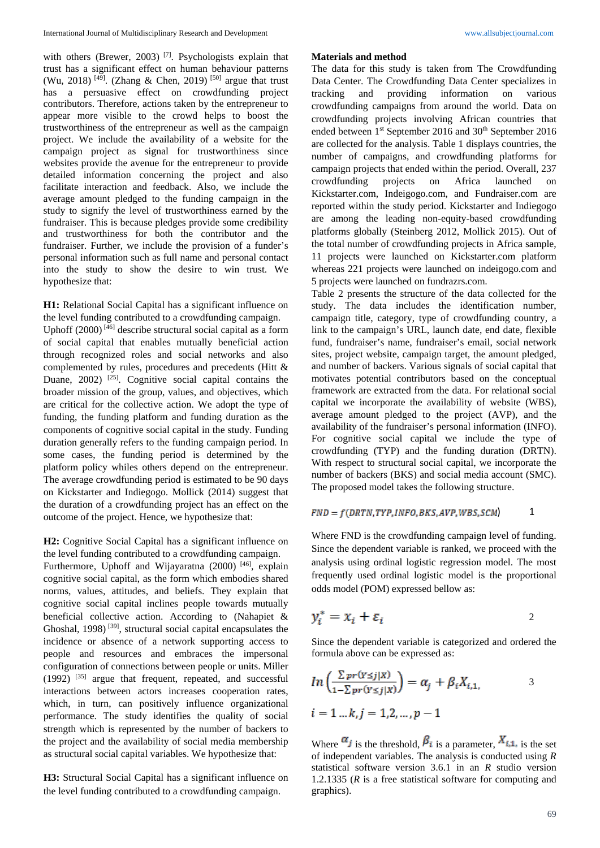with others (Brewer, 2003)<sup>[7]</sup>. Psychologists explain that trust has a significant effect on human behaviour patterns (Wu, 2018)<sup>[49]</sup>. (Zhang & Chen, 2019)<sup>[50]</sup> argue that trust has a persuasive effect on crowdfunding project contributors. Therefore, actions taken by the entrepreneur to appear more visible to the crowd helps to boost the trustworthiness of the entrepreneur as well as the campaign project. We include the availability of a website for the campaign project as signal for trustworthiness since websites provide the avenue for the entrepreneur to provide detailed information concerning the project and also facilitate interaction and feedback. Also, we include the average amount pledged to the funding campaign in the study to signify the level of trustworthiness earned by the fundraiser. This is because pledges provide some credibility and trustworthiness for both the contributor and the fundraiser. Further, we include the provision of a funder's personal information such as full name and personal contact into the study to show the desire to win trust. We hypothesize that:

## **H1:** Relational Social Capital has a significant influence on the level funding contributed to a crowdfunding campaign.

Uphoff (2000) [46] describe structural social capital as a form of social capital that enables mutually beneficial action through recognized roles and social networks and also complemented by rules, procedures and precedents (Hitt & Duane,  $2002$ )<sup>[25]</sup>. Cognitive social capital contains the broader mission of the group, values, and objectives, which are critical for the collective action. We adopt the type of funding, the funding platform and funding duration as the components of cognitive social capital in the study. Funding duration generally refers to the funding campaign period. In some cases, the funding period is determined by the platform policy whiles others depend on the entrepreneur. The average crowdfunding period is estimated to be 90 days on Kickstarter and Indiegogo. Mollick (2014) suggest that the duration of a crowdfunding project has an effect on the outcome of the project. Hence, we hypothesize that:

### **H2:** Cognitive Social Capital has a significant influence on the level funding contributed to a crowdfunding campaign.

Furthermore, Uphoff and Wijayaratna (2000)<sup>[46]</sup>, explain cognitive social capital, as the form which embodies shared norms, values, attitudes, and beliefs. They explain that cognitive social capital inclines people towards mutually beneficial collective action. According to (Nahapiet & Ghoshal, 1998)<sup>[39]</sup>, structural social capital encapsulates the incidence or absence of a network supporting access to people and resources and embraces the impersonal configuration of connections between people or units. Miller  $(1992)$ <sup>[35]</sup> argue that frequent, repeated, and successful interactions between actors increases cooperation rates, which, in turn, can positively influence organizational performance. The study identifies the quality of social strength which is represented by the number of backers to the project and the availability of social media membership as structural social capital variables. We hypothesize that:

**H3:** Structural Social Capital has a significant influence on the level funding contributed to a crowdfunding campaign.

#### **Materials and method**

The data for this study is taken from The Crowdfunding Data Center. The Crowdfunding Data Center specializes in tracking and providing information on various crowdfunding campaigns from around the world. Data on crowdfunding projects involving African countries that ended between 1<sup>st</sup> September 2016 and 30<sup>th</sup> September 2016 are collected for the analysis. Table 1 displays countries, the number of campaigns, and crowdfunding platforms for campaign projects that ended within the period. Overall, 237 crowdfunding projects on Africa launched on Kickstarter.com, Indeigogo.com, and Fundraiser.com are reported within the study period. Kickstarter and Indiegogo are among the leading non-equity-based crowdfunding platforms globally (Steinberg 2012, Mollick 2015). Out of the total number of crowdfunding projects in Africa sample, 11 projects were launched on Kickstarter.com platform whereas 221 projects were launched on indeigogo.com and 5 projects were launched on fundrazrs.com.

Table 2 presents the structure of the data collected for the study. The data includes the identification number, campaign title, category, type of crowdfunding country, a link to the campaign's URL, launch date, end date, flexible fund, fundraiser's name, fundraiser's email, social network sites, project website, campaign target, the amount pledged, and number of backers. Various signals of social capital that motivates potential contributors based on the conceptual framework are extracted from the data. For relational social capital we incorporate the availability of website (WBS), average amount pledged to the project (AVP), and the availability of the fundraiser's personal information (INFO). For cognitive social capital we include the type of crowdfunding (TYP) and the funding duration (DRTN). With respect to structural social capital, we incorporate the number of backers (BKS) and social media account (SMC). The proposed model takes the following structure.

$$
FND = f(DRTN, TYP, INFO, BKS, AVP, WBS, SCM)
$$
 1

Where FND is the crowdfunding campaign level of funding. Since the dependent variable is ranked, we proceed with the analysis using ordinal logistic regression model. The most frequently used ordinal logistic model is the proportional odds model (POM) expressed bellow as:

$$
y_i^* = x_i + \varepsilon_i \tag{2}
$$

Since the dependent variable is categorized and ordered the formula above can be expressed as:

$$
ln\left(\frac{\sum pr(Y \leq j|X)}{1 - \sum pr(Y \leq j|X)}\right) = \alpha_j + \beta_i X_{i,1},
$$
  

$$
i = 1 \dots k, j = 1,2,\dots, p-1
$$

Where  $\alpha_j$  is the threshold,  $\beta_i$  is a parameter,  $X_{i,1}$  is the set of independent variables. The analysis is conducted using *R* statistical software version 3.6.1 in an *R* studio version 1.2.1335 (*R* is a free statistical software for computing and graphics).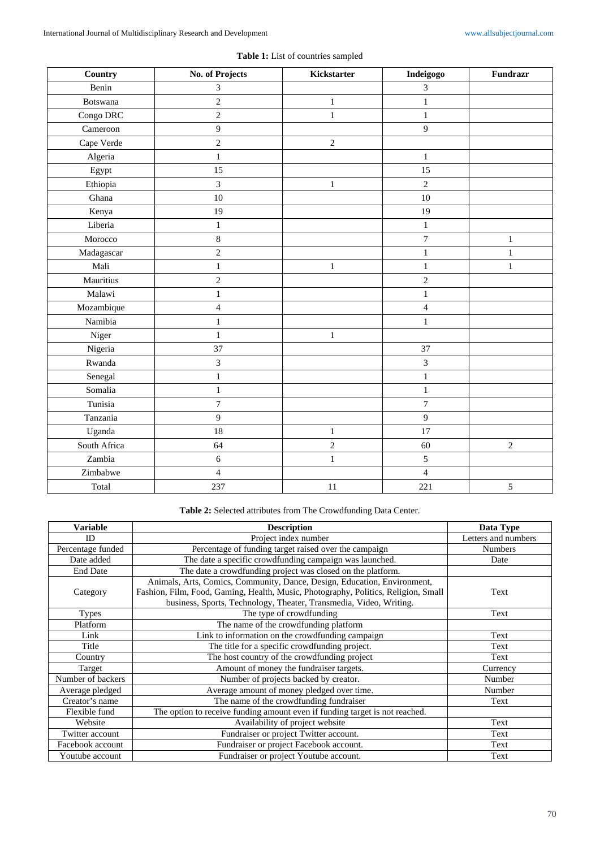| Country      | No. of Projects | Kickstarter      | Indeigogo        | <b>Fundrazr</b> |
|--------------|-----------------|------------------|------------------|-----------------|
| Benin        | 3               |                  | $\overline{3}$   |                 |
| Botswana     | $\sqrt{2}$      | $\,1$            | $\,1$            |                 |
| Congo DRC    | $\overline{c}$  | $\,1\,$          | $\mathbf{1}$     |                 |
| Cameroon     | $\overline{9}$  |                  | $\overline{9}$   |                 |
| Cape Verde   | $\sqrt{2}$      | $\boldsymbol{2}$ |                  |                 |
| Algeria      | $\mathbf{1}$    |                  | $\mathbf{1}$     |                 |
| Egypt        | 15              |                  | 15               |                 |
| Ethiopia     | $\overline{3}$  | $\mathbf{1}$     | $\overline{c}$   |                 |
| Ghana        | 10              |                  | $10\,$           |                 |
| Kenya        | 19              |                  | 19               |                 |
| Liberia      | $\mathbf{1}$    |                  | $\mathbf 1$      |                 |
| Morocco      | $\,8\,$         |                  | $\boldsymbol{7}$ | $\mathbf{1}$    |
| Madagascar   | $\overline{2}$  |                  | $\mathbf{1}$     | $\mathbf{1}$    |
| Mali         | $\mathbf{1}$    | $\mathbf{1}$     | $\mathbf 1$      | $\mathbf{1}$    |
| Mauritius    | $\sqrt{2}$      |                  | $\sqrt{2}$       |                 |
| Malawi       | $\mathbf{1}$    |                  | $\mathbf 1$      |                 |
| Mozambique   | 4               |                  | $\overline{4}$   |                 |
| Namibia      | $\mathbf{1}$    |                  | $\mathbf{1}$     |                 |
| Niger        | $\mathbf{1}$    | $\mathbf 1$      |                  |                 |
| Nigeria      | 37              |                  | 37               |                 |
| Rwanda       | $\mathfrak{Z}$  |                  | $\mathfrak{Z}$   |                 |
| Senegal      | $\mathbf{1}$    |                  | $\,1\,$          |                 |
| Somalia      | $\,1$           |                  | $\,1$            |                 |
| Tunisia      | $\overline{7}$  |                  | $\boldsymbol{7}$ |                 |
| Tanzania     | $\overline{9}$  |                  | $\overline{9}$   |                 |
| Uganda       | 18              | $\mathbf{1}$     | 17               |                 |
| South Africa | 64              | $\overline{c}$   | 60               | $\overline{2}$  |
| Zambia       | $\sqrt{6}$      | $\,1\,$          | 5                |                 |
| Zimbabwe     | $\overline{4}$  |                  | $\overline{4}$   |                 |
| Total        | 237             | 11               | 221              | 5               |

**Table 1:** List of countries sampled

# **Table 2:** Selected attributes from The Crowdfunding Data Center.

| <b>Variable</b>   | <b>Description</b>                                                                 | Data Type           |
|-------------------|------------------------------------------------------------------------------------|---------------------|
| ID                | Project index number                                                               | Letters and numbers |
| Percentage funded | Percentage of funding target raised over the campaign                              | <b>Numbers</b>      |
| Date added        | The date a specific crowdfunding campaign was launched.                            | Date                |
| <b>End Date</b>   | The date a crowdfunding project was closed on the platform.                        |                     |
|                   | Animals, Arts, Comics, Community, Dance, Design, Education, Environment,           |                     |
| Category          | Fashion, Film, Food, Gaming, Health, Music, Photography, Politics, Religion, Small | Text                |
|                   | business, Sports, Technology, Theater, Transmedia, Video, Writing.                 |                     |
| <b>Types</b>      | The type of crowdfunding                                                           | Text                |
| Platform          | The name of the crowdfunding platform                                              |                     |
| Link              | Link to information on the crowdfunding campaign                                   | Text                |
| Title             | The title for a specific crowdfunding project.                                     | Text                |
| Country           | The host country of the crowdfunding project                                       | Text                |
| Target            | Amount of money the fundraiser targets.                                            | Currency            |
| Number of backers | Number of projects backed by creator.                                              | Number              |
| Average pledged   | Average amount of money pledged over time.                                         | Number              |
| Creator's name    | The name of the crowdfunding fundraiser                                            | Text                |
| Flexible fund     | The option to receive funding amount even if funding target is not reached.        |                     |
| Website           | Availability of project website                                                    | Text                |
| Twitter account   | Fundraiser or project Twitter account.                                             | Text                |
| Facebook account  | Fundraiser or project Facebook account.                                            | Text                |
| Youtube account   | Fundraiser or project Youtube account.                                             | Text                |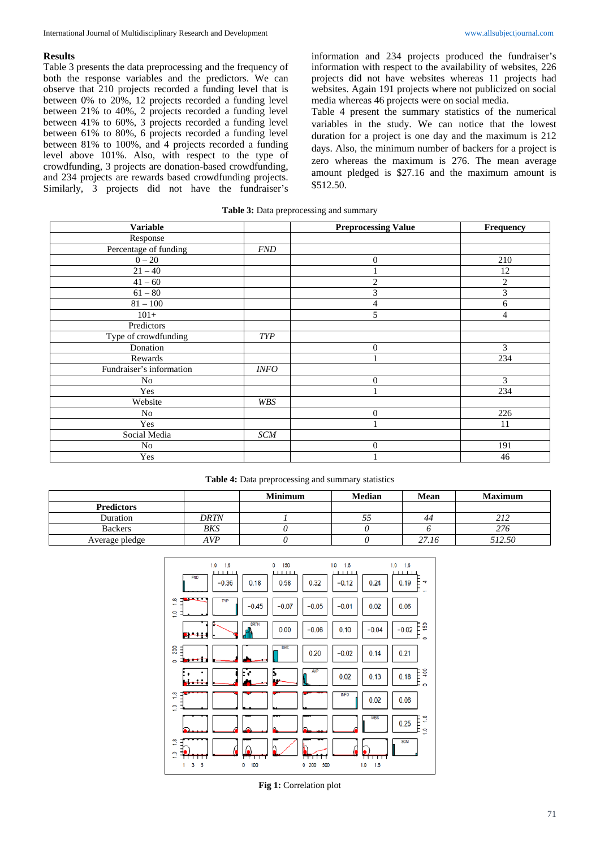#### **Results**

Table 3 presents the data preprocessing and the frequency of both the response variables and the predictors. We can observe that 210 projects recorded a funding level that is between 0% to 20%, 12 projects recorded a funding level between 21% to 40%, 2 projects recorded a funding level between 41% to 60%, 3 projects recorded a funding level between 61% to 80%, 6 projects recorded a funding level between 81% to 100%, and 4 projects recorded a funding level above 101%. Also, with respect to the type of crowdfunding, 3 projects are donation-based crowdfunding, and 234 projects are rewards based crowdfunding projects. Similarly, 3 projects did not have the fundraiser's

information and 234 projects produced the fundraiser's information with respect to the availability of websites, 226 projects did not have websites whereas 11 projects had websites. Again 191 projects where not publicized on social media whereas 46 projects were on social media.

Table 4 present the summary statistics of the numerical variables in the study. We can notice that the lowest duration for a project is one day and the maximum is 212 days. Also, the minimum number of backers for a project is zero whereas the maximum is 276. The mean average amount pledged is \$27.16 and the maximum amount is \$512.50.

| Table 3: Data preprocessing and summary |  |  |
|-----------------------------------------|--|--|
|-----------------------------------------|--|--|

| <b>Variable</b>          |            | <b>Preprocessing Value</b> | Frequency      |
|--------------------------|------------|----------------------------|----------------|
| Response                 |            |                            |                |
| Percentage of funding    | <b>FND</b> |                            |                |
| $0 - 20$                 |            | $\boldsymbol{0}$           | 210            |
| $21 - 40$                |            | 1                          | 12             |
| $41 - 60$                |            | $\overline{2}$             | $\overline{c}$ |
| $61 - 80$                |            | 3                          | 3              |
| $81 - 100$               |            | $\overline{4}$             | 6              |
| $101+$                   |            | 5                          | $\overline{4}$ |
| Predictors               |            |                            |                |
| Type of crowdfunding     | <b>TYP</b> |                            |                |
| Donation                 |            | $\overline{0}$             | 3              |
| Rewards                  |            | и                          | 234            |
| Fundraiser's information | INFO       |                            |                |
| No                       |            | $\overline{0}$             | 3              |
| Yes                      |            | и                          | 234            |
| Website                  | WBS        |                            |                |
| No                       |            | $\boldsymbol{0}$           | 226            |
| Yes                      |            | ٠                          | 11             |
| Social Media             | <b>SCM</b> |                            |                |
| No                       |            | $\boldsymbol{0}$           | 191            |
| Yes                      |            |                            | 46             |

#### **Table 4:** Data preprocessing and summary statistics

|                   |      | <b>Minimum</b> | <b>Median</b> | Mean  | <b>Maximum</b> |
|-------------------|------|----------------|---------------|-------|----------------|
| <b>Predictors</b> |      |                |               |       |                |
| Duration          | DRTN |                |               | 44    | 212            |
| <b>Backers</b>    | BKS  |                |               |       | 276            |
| Average pledge    | AVP  |                |               | 27.16 | 512.50         |



**Fig 1:** Correlation plot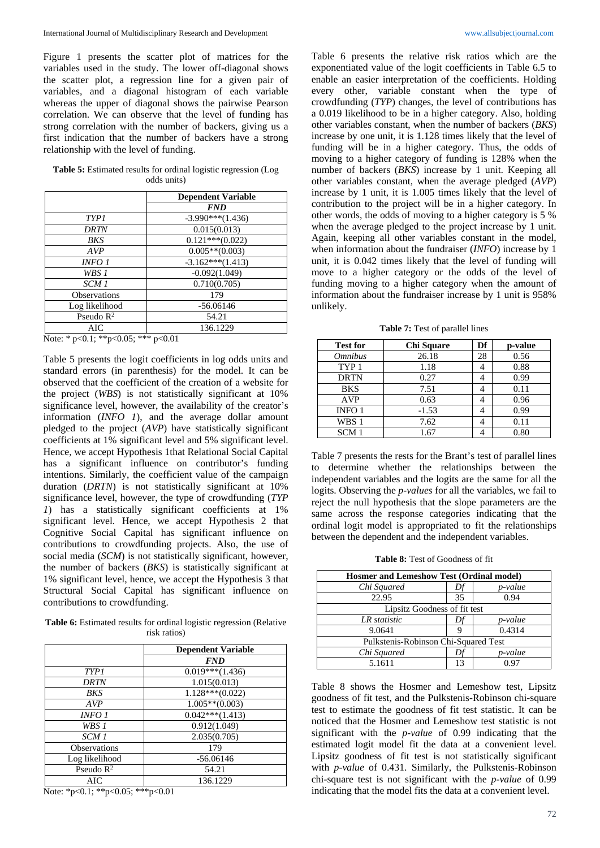Figure 1 presents the scatter plot of matrices for the variables used in the study. The lower off-diagonal shows the scatter plot, a regression line for a given pair of variables, and a diagonal histogram of each variable whereas the upper of diagonal shows the pairwise Pearson correlation. We can observe that the level of funding has strong correlation with the number of backers, giving us a first indication that the number of backers have a strong relationship with the level of funding.

| <b>Table 5:</b> Estimated results for ordinal logistic regression (Log) |  |
|-------------------------------------------------------------------------|--|
| odds units)                                                             |  |

|                       | <b>Dependent Variable</b> |
|-----------------------|---------------------------|
|                       | <b>FND</b>                |
| <b>TYP1</b>           | $-3.990***(1.436)$        |
| DRTN                  | 0.015(0.013)              |
| BKS                   | $0.121***(0.022)$         |
| AVP                   | $0.005**$ (0.003)         |
| INFO 1                | $-3.162***(1.413)$        |
| WBS 1                 | $-0.092(1.049)$           |
| SCM 1                 | 0.710(0.705)              |
| <b>Observations</b>   | 179                       |
| Log likelihood        | $-56.06146$               |
| Pseudo $\mathbb{R}^2$ | 54.21                     |
| AIC                   | 136.1229                  |

Note: \* p<0.1; \*\*p<0.05; \*\*\* p<0.01

Table 5 presents the logit coefficients in log odds units and standard errors (in parenthesis) for the model. It can be observed that the coefficient of the creation of a website for the project (*WBS*) is not statistically significant at 10% significance level, however, the availability of the creator's information (*INFO 1*), and the average dollar amount pledged to the project (*AVP*) have statistically significant coefficients at 1% significant level and 5% significant level. Hence, we accept Hypothesis 1that Relational Social Capital has a significant influence on contributor's funding intentions. Similarly, the coefficient value of the campaign duration (*DRTN*) is not statistically significant at 10% significance level, however, the type of crowdfunding (*TYP 1*) has a statistically significant coefficients at 1% significant level. Hence, we accept Hypothesis 2 that Cognitive Social Capital has significant influence on contributions to crowdfunding projects. Also, the use of social media (*SCM*) is not statistically significant, however, the number of backers (*BKS*) is statistically significant at 1% significant level, hence, we accept the Hypothesis 3 that Structural Social Capital has significant influence on contributions to crowdfunding.

Table 6: Estimated results for ordinal logistic regression (Relative risk ratios)

|                     | <b>Dependent Variable</b> |
|---------------------|---------------------------|
|                     | <b>FND</b>                |
| TYP 1               | $0.019***(1.436)$         |
| DRTN                | 1.015(0.013)              |
| <b>BKS</b>          | $1.128***(0.022)$         |
| AVP                 | $1.005**$ (0.003)         |
| INFO 1              | $0.042***(1.413)$         |
| WBS 1               | 0.912(1.049)              |
| SCM 1               | 2.035(0.705)              |
| <b>Observations</b> | 179                       |
| Log likelihood      | $-56.06146$               |
| Pseudo $R^2$        | 54.21                     |
| AIC                 | 136.1229                  |

Note: \*p<0.1; \*\*p<0.05; \*\*\*p<0.01

Table 6 presents the relative risk ratios which are the exponentiated value of the logit coefficients in Table 6.5 to enable an easier interpretation of the coefficients. Holding every other, variable constant when the type of crowdfunding (*TYP*) changes, the level of contributions has a 0.019 likelihood to be in a higher category. Also, holding other variables constant, when the number of backers (*BKS*) increase by one unit, it is 1.128 times likely that the level of funding will be in a higher category. Thus, the odds of moving to a higher category of funding is 128% when the number of backers (*BKS*) increase by 1 unit. Keeping all other variables constant, when the average pledged (*AVP*) increase by 1 unit, it is 1.005 times likely that the level of contribution to the project will be in a higher category. In other words, the odds of moving to a higher category is 5 % when the average pledged to the project increase by 1 unit. Again, keeping all other variables constant in the model, when information about the fundraiser (*INFO*) increase by 1 unit, it is 0.042 times likely that the level of funding will move to a higher category or the odds of the level of funding moving to a higher category when the amount of information about the fundraiser increase by 1 unit is 958% unlikely.

**Table 7:** Test of parallel lines

| <b>Test for</b>       | Chi Square | Df | p-value |
|-----------------------|------------|----|---------|
| <i><b>Omnibus</b></i> | 26.18      | 28 | 0.56    |
| TYP <sub>1</sub>      | 1.18       | 4  | 0.88    |
| <b>DRTN</b>           | 0.27       |    | 0.99    |
| <b>BKS</b>            | 7.51       |    | 0.11    |
| <b>AVP</b>            | 0.63       |    | 0.96    |
| INFO <sub>1</sub>     | $-1.53$    |    | 0.99    |
| WBS 1                 | 7.62       |    | 0.11    |
| SCM 1                 | 1.67       |    | 0.80    |

Table 7 presents the rests for the Brant's test of parallel lines to determine whether the relationships between the independent variables and the logits are the same for all the logits. Observing the *p-values* for all the variables, we fail to reject the null hypothesis that the slope parameters are the same across the response categories indicating that the ordinal logit model is appropriated to fit the relationships between the dependent and the independent variables.

**Table 8:** Test of Goodness of fit

| <b>Hosmer and Lemeshow Test (Ordinal model)</b> |                                      |         |  |  |  |
|-------------------------------------------------|--------------------------------------|---------|--|--|--|
| Chi Squared                                     |                                      | p-value |  |  |  |
| 22.95                                           | 35                                   | 0.94    |  |  |  |
|                                                 | Lipsitz Goodness of fit test         |         |  |  |  |
| LR statistic                                    |                                      | p-value |  |  |  |
| 9.0641                                          |                                      | 0.4314  |  |  |  |
|                                                 | Pulkstenis-Robinson Chi-Squared Test |         |  |  |  |
| Chi Squared                                     |                                      | p-value |  |  |  |
| 5.1611                                          | 13                                   | 0.97    |  |  |  |

Table 8 shows the Hosmer and Lemeshow test, Lipsitz goodness of fit test, and the Pulkstenis-Robinson chi-square test to estimate the goodness of fit test statistic. It can be noticed that the Hosmer and Lemeshow test statistic is not significant with the *p-value* of 0.99 indicating that the estimated logit model fit the data at a convenient level. Lipsitz goodness of fit test is not statistically significant with *p-value* of 0.431. Similarly, the Pulkstenis-Robinson chi-square test is not significant with the *p-value* of 0.99 indicating that the model fits the data at a convenient level.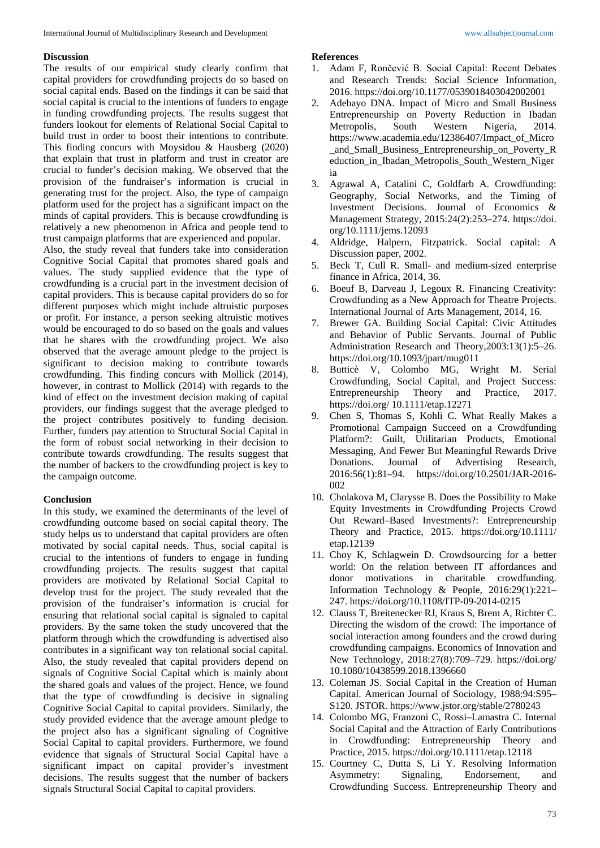### **Discussion**

The results of our empirical study clearly confirm that capital providers for crowdfunding projects do so based on social capital ends. Based on the findings it can be said that social capital is crucial to the intentions of funders to engage in funding crowdfunding projects. The results suggest that funders lookout for elements of Relational Social Capital to build trust in order to boost their intentions to contribute. This finding concurs with Moysidou & Hausberg (2020) that explain that trust in platform and trust in creator are crucial to funder's decision making. We observed that the provision of the fundraiser's information is crucial in generating trust for the project. Also, the type of campaign platform used for the project has a significant impact on the minds of capital providers. This is because crowdfunding is relatively a new phenomenon in Africa and people tend to trust campaign platforms that are experienced and popular.

Also, the study reveal that funders take into consideration Cognitive Social Capital that promotes shared goals and values. The study supplied evidence that the type of crowdfunding is a crucial part in the investment decision of capital providers. This is because capital providers do so for different purposes which might include altruistic purposes or profit. For instance, a person seeking altruistic motives would be encouraged to do so based on the goals and values that he shares with the crowdfunding project. We also observed that the average amount pledge to the project is significant to decision making to contribute towards crowdfunding. This finding concurs with Mollick (2014), however, in contrast to Mollick (2014) with regards to the kind of effect on the investment decision making of capital providers, our findings suggest that the average pledged to the project contributes positively to funding decision. Further, funders pay attention to Structural Social Capital in the form of robust social networking in their decision to contribute towards crowdfunding. The results suggest that the number of backers to the crowdfunding project is key to the campaign outcome.

## **Conclusion**

In this study, we examined the determinants of the level of crowdfunding outcome based on social capital theory. The study helps us to understand that capital providers are often motivated by social capital needs. Thus, social capital is crucial to the intentions of funders to engage in funding crowdfunding projects. The results suggest that capital providers are motivated by Relational Social Capital to develop trust for the project. The study revealed that the provision of the fundraiser's information is crucial for ensuring that relational social capital is signaled to capital providers. By the same token the study uncovered that the platform through which the crowdfunding is advertised also contributes in a significant way ton relational social capital. Also, the study revealed that capital providers depend on signals of Cognitive Social Capital which is mainly about the shared goals and values of the project. Hence, we found that the type of crowdfunding is decisive in signaling Cognitive Social Capital to capital providers. Similarly, the study provided evidence that the average amount pledge to the project also has a significant signaling of Cognitive Social Capital to capital providers. Furthermore, we found evidence that signals of Structural Social Capital have a significant impact on capital provider's investment decisions. The results suggest that the number of backers signals Structural Social Capital to capital providers.

# **References**

- 1. Adam F, Rončević B. Social Capital: Recent Debates and Research Trends: Social Science Information, 2016. https://doi.org/10.1177/0539018403042002001
- 2. Adebayo DNA. Impact of Micro and Small Business Entrepreneurship on Poverty Reduction in Ibadan Metropolis, South Western Nigeria, 2014. https://www.academia.edu/12386407/Impact\_of\_Micro \_and\_Small\_Business\_Entrepreneurship\_on\_Poverty\_R eduction\_in\_Ibadan\_Metropolis\_South\_Western\_Niger ia
- 3. Agrawal A, Catalini C, Goldfarb A. Crowdfunding: Geography, Social Networks, and the Timing of Investment Decisions. Journal of Economics & Management Strategy, 2015:24(2):253–274. https://doi. org/10.1111/jems.12093
- 4. Aldridge, Halpern, Fitzpatrick. Social capital: A Discussion paper, 2002.
- 5. Beck T, Cull R. Small- and medium-sized enterprise finance in Africa, 2014, 36.
- 6. Boeuf B, Darveau J, Legoux R. Financing Creativity: Crowdfunding as a New Approach for Theatre Projects. International Journal of Arts Management, 2014, 16.
- 7. Brewer GA. Building Social Capital: Civic Attitudes and Behavior of Public Servants. Journal of Public Administration Research and Theory,2003:13(1):5–26. https://doi.org/10.1093/jpart/mug011
- 8. Butticè V, Colombo MG, Wright M. Serial Crowdfunding, Social Capital, and Project Success: Entrepreneurship Theory and Practice, 2017. https://doi.org/ 10.1111/etap.12271
- 9. Chen S, Thomas S, Kohli C. What Really Makes a Promotional Campaign Succeed on a Crowdfunding Platform?: Guilt, Utilitarian Products, Emotional Messaging, And Fewer But Meaningful Rewards Drive Donations. Journal of Advertising Research, 2016:56(1):81–94. https://doi.org/10.2501/JAR-2016- 002
- 10. Cholakova M, Clarysse B. Does the Possibility to Make Equity Investments in Crowdfunding Projects Crowd Out Reward–Based Investments?: Entrepreneurship Theory and Practice, 2015. https://doi.org/10.1111/ etap.12139
- 11. Choy K, Schlagwein D. Crowdsourcing for a better world: On the relation between IT affordances and donor motivations in charitable crowdfunding. Information Technology & People, 2016:29(1):221– 247. https://doi.org/10.1108/ITP-09-2014-0215
- 12. Clauss T, Breitenecker RJ, Kraus S, Brem A, Richter C. Directing the wisdom of the crowd: The importance of social interaction among founders and the crowd during crowdfunding campaigns. Economics of Innovation and New Technology, 2018:27(8):709–729. https://doi.org/ 10.1080/10438599.2018.1396660
- 13. Coleman JS. Social Capital in the Creation of Human Capital. American Journal of Sociology, 1988:94:S95– S120. JSTOR. https://www.jstor.org/stable/2780243
- 14. Colombo MG, Franzoni C, Rossi–Lamastra C. Internal Social Capital and the Attraction of Early Contributions in Crowdfunding: Entrepreneurship Theory and Practice, 2015. https://doi.org/10.1111/etap.12118
- 15. Courtney C, Dutta S, Li Y. Resolving Information Asymmetry: Signaling, Endorsement, and Crowdfunding Success. Entrepreneurship Theory and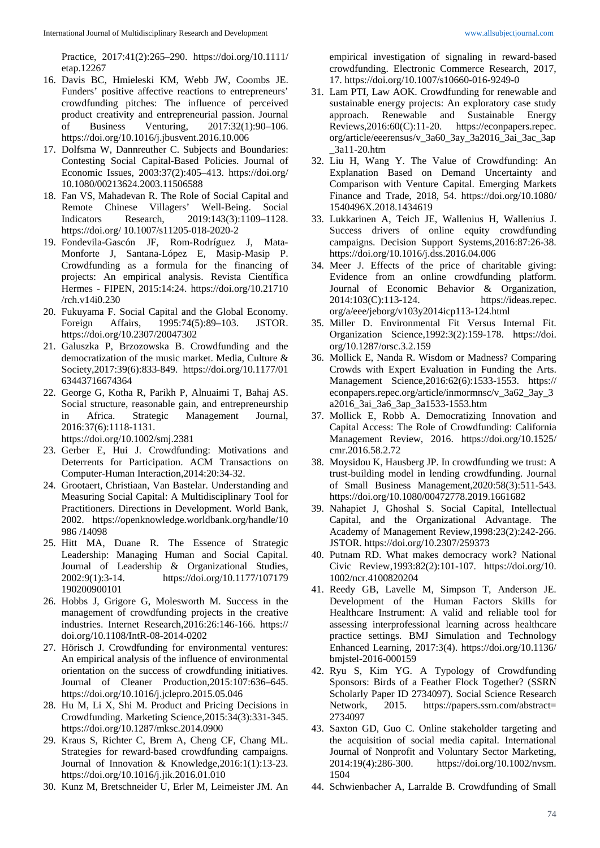Practice, 2017:41(2):265–290. https://doi.org/10.1111/ etap.12267

- 16. Davis BC, Hmieleski KM, Webb JW, Coombs JE. Funders' positive affective reactions to entrepreneurs' crowdfunding pitches: The influence of perceived product creativity and entrepreneurial passion. Journal of Business Venturing, 2017:32(1):90–106. https://doi.org/10.1016/j.jbusvent.2016.10.006
- 17. Dolfsma W, Dannreuther C. Subjects and Boundaries: Contesting Social Capital-Based Policies. Journal of Economic Issues, 2003:37(2):405–413. https://doi.org/ 10.1080/00213624.2003.11506588
- 18. Fan VS, Mahadevan R. The Role of Social Capital and Remote Chinese Villagers' Well-Being. Social Indicators Research, 2019:143(3):1109–1128. https://doi.org/ 10.1007/s11205-018-2020-2
- 19. Fondevila-Gascón JF, Rom-Rodríguez J, Mata-Monforte J, Santana-López E, Masip-Masip P. Crowdfunding as a formula for the financing of projects: An empirical analysis. Revista Científica Hermes - FIPEN, 2015:14:24. https://doi.org/10.21710 /rch.v14i0.230
- 20. Fukuyama F. Social Capital and the Global Economy. Foreign Affairs, 1995:74(5):89–103. JSTOR. https://doi.org/10.2307/20047302
- 21. Galuszka P, Brzozowska B. Crowdfunding and the democratization of the music market. Media, Culture & Society,2017:39(6):833-849. https://doi.org/10.1177/01 63443716674364
- 22. George G, Kotha R, Parikh P, Alnuaimi T, Bahaj AS. Social structure, reasonable gain, and entrepreneurship in Africa. Strategic Management Journal, 2016:37(6):1118-1131.

https://doi.org/10.1002/smj.2381

- 23. Gerber E, Hui J. Crowdfunding: Motivations and Deterrents for Participation. ACM Transactions on Computer-Human Interaction,2014:20:34-32.
- 24. Grootaert, Christiaan, Van Bastelar. Understanding and Measuring Social Capital: A Multidisciplinary Tool for Practitioners. Directions in Development. World Bank, 2002. https://openknowledge.worldbank.org/handle/10 986 /14098
- 25. Hitt MA, Duane R. The Essence of Strategic Leadership: Managing Human and Social Capital. Journal of Leadership & Organizational Studies, 2002:9(1):3-14. https://doi.org/10.1177/107179 190200900101
- 26. Hobbs J, Grigore G, Molesworth M. Success in the management of crowdfunding projects in the creative industries. Internet Research,2016:26:146-166. https:// doi.org/10.1108/IntR-08-2014-0202
- 27. Hörisch J. Crowdfunding for environmental ventures: An empirical analysis of the influence of environmental orientation on the success of crowdfunding initiatives. Journal of Cleaner Production,2015:107:636–645. https://doi.org/10.1016/j.jclepro.2015.05.046
- 28. Hu M, Li X, Shi M. Product and Pricing Decisions in Crowdfunding. Marketing Science,2015:34(3):331-345. https://doi.org/10.1287/mksc.2014.0900
- 29. Kraus S, Richter C, Brem A, Cheng CF, Chang ML. Strategies for reward-based crowdfunding campaigns. Journal of Innovation & Knowledge,2016:1(1):13-23. https://doi.org/10.1016/j.jik.2016.01.010
- 30. Kunz M, Bretschneider U, Erler M, Leimeister JM. An

empirical investigation of signaling in reward-based crowdfunding. Electronic Commerce Research, 2017, 17. https://doi.org/10.1007/s10660-016-9249-0

- 31. Lam PTI, Law AOK. Crowdfunding for renewable and sustainable energy projects: An exploratory case study approach. Renewable and Sustainable Energy Reviews,2016:60(C):11-20. https://econpapers.repec. org/article/eeerensus/v\_3a60\_3ay\_3a2016\_3ai\_3ac\_3ap \_3a11-20.htm
- 32. Liu H, Wang Y. The Value of Crowdfunding: An Explanation Based on Demand Uncertainty and Comparison with Venture Capital. Emerging Markets Finance and Trade, 2018, 54. https://doi.org/10.1080/ 1540496X.2018.1434619
- 33. Lukkarinen A, Teich JE, Wallenius H, Wallenius J. Success drivers of online equity crowdfunding campaigns. Decision Support Systems,2016:87:26-38. https://doi.org/10.1016/j.dss.2016.04.006
- 34. Meer J. Effects of the price of charitable giving: Evidence from an online crowdfunding platform. Journal of Economic Behavior & Organization, 2014:103(C):113-124. https://ideas.repec. org/a/eee/jeborg/v103y2014icp113-124.html
- 35. Miller D. Environmental Fit Versus Internal Fit. Organization Science,1992:3(2):159-178. https://doi. org/10.1287/orsc.3.2.159
- 36. Mollick E, Nanda R. Wisdom or Madness? Comparing Crowds with Expert Evaluation in Funding the Arts. Management Science,2016:62(6):1533-1553. https:// econpapers.repec.org/article/inmormnsc/v\_3a62\_3ay\_3 a2016\_3ai\_3a6\_3ap\_3a1533-1553.htm
- 37. Mollick E, Robb A. Democratizing Innovation and Capital Access: The Role of Crowdfunding: California Management Review, 2016. https://doi.org/10.1525/ cmr.2016.58.2.72
- 38. Moysidou K, Hausberg JP. In crowdfunding we trust: A trust-building model in lending crowdfunding. Journal of Small Business Management,2020:58(3):511-543. https://doi.org/10.1080/00472778.2019.1661682
- 39. Nahapiet J, Ghoshal S. Social Capital, Intellectual Capital, and the Organizational Advantage. The Academy of Management Review,1998:23(2):242-266. JSTOR. https://doi.org/10.2307/259373
- 40. Putnam RD. What makes democracy work? National Civic Review,1993:82(2):101-107. https://doi.org/10. 1002/ncr.4100820204
- 41. Reedy GB, Lavelle M, Simpson T, Anderson JE. Development of the Human Factors Skills for Healthcare Instrument: A valid and reliable tool for assessing interprofessional learning across healthcare practice settings. BMJ Simulation and Technology Enhanced Learning, 2017:3(4). https://doi.org/10.1136/ bmjstel-2016-000159
- 42. Ryu S, Kim YG. A Typology of Crowdfunding Sponsors: Birds of a Feather Flock Together? (SSRN Scholarly Paper ID 2734097). Social Science Research Network, 2015. https://papers.ssrn.com/abstract= 2734097
- 43. Saxton GD, Guo C. Online stakeholder targeting and the acquisition of social media capital. International Journal of Nonprofit and Voluntary Sector Marketing, 2014:19(4):286-300. https://doi.org/10.1002/nvsm. 1504
- 44. Schwienbacher A, Larralde B. Crowdfunding of Small